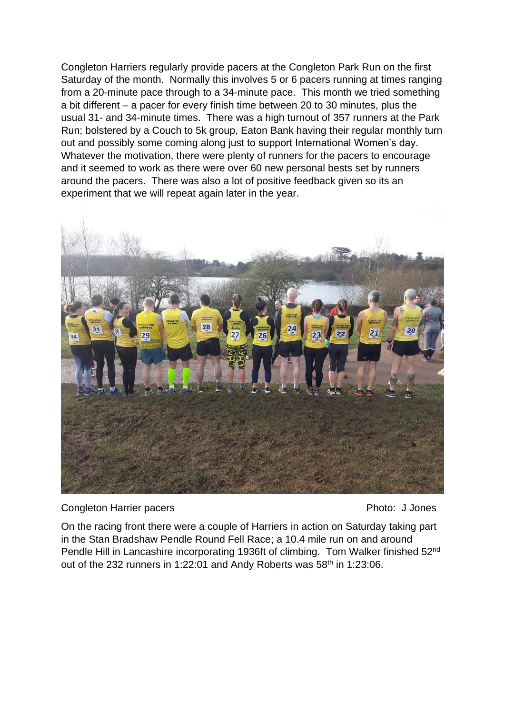Congleton Harriers regularly provide pacers at the Congleton Park Run on the first Saturday of the month. Normally this involves 5 or 6 pacers running at times ranging from a 20-minute pace through to a 34-minute pace. This month we tried something a bit different – a pacer for every finish time between 20 to 30 minutes, plus the usual 31- and 34-minute times. There was a high turnout of 357 runners at the Park Run; bolstered by a Couch to 5k group, Eaton Bank having their regular monthly turn out and possibly some coming along just to support International Women's day. Whatever the motivation, there were plenty of runners for the pacers to encourage and it seemed to work as there were over 60 new personal bests set by runners around the pacers. There was also a lot of positive feedback given so its an experiment that we will repeat again later in the year.



Congleton Harrier pacers **Photo: J Jones** Photo: J Jones

On the racing front there were a couple of Harriers in action on Saturday taking part in the Stan Bradshaw Pendle Round Fell Race; a 10.4 mile run on and around Pendle Hill in Lancashire incorporating 1936ft of climbing. Tom Walker finished 52<sup>nd</sup> out of the 232 runners in 1:22:01 and Andy Roberts was 58<sup>th</sup> in 1:23:06.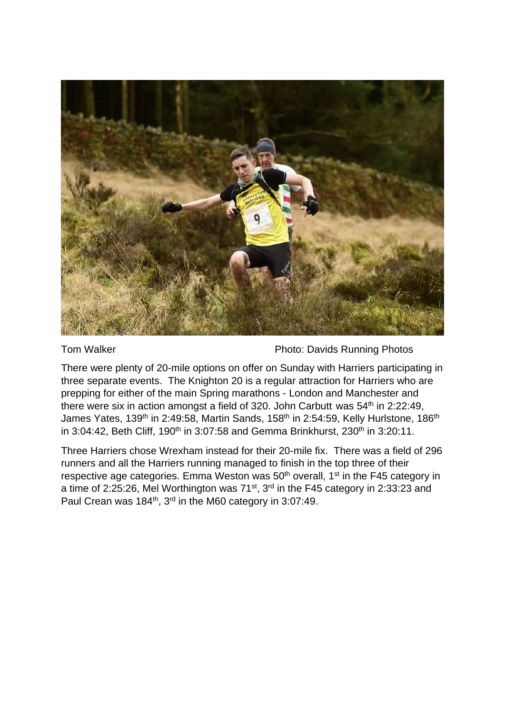

Tom Walker **Photo: Davids Running Photos** 

There were plenty of 20-mile options on offer on Sunday with Harriers participating in three separate events. The Knighton 20 is a regular attraction for Harriers who are prepping for either of the main Spring marathons - London and Manchester and there were six in action amongst a field of 320. John Carbutt was  $54<sup>th</sup>$  in 2:22:49, James Yates, 139<sup>th</sup> in 2:49:58, Martin Sands, 158<sup>th</sup> in 2:54:59, Kelly Hurlstone, 186<sup>th</sup> in 3:04:42, Beth Cliff, 190<sup>th</sup> in 3:07:58 and Gemma Brinkhurst, 230<sup>th</sup> in 3:20:11.

Three Harriers chose Wrexham instead for their 20-mile fix. There was a field of 296 runners and all the Harriers running managed to finish in the top three of their respective age categories. Emma Weston was  $50<sup>th</sup>$  overall,  $1<sup>st</sup>$  in the F45 category in a time of 2:25:26, Mel Worthington was 71<sup>st</sup>, 3<sup>rd</sup> in the F45 category in 2:33:23 and Paul Crean was 184<sup>th</sup>, 3<sup>rd</sup> in the M60 category in 3:07:49.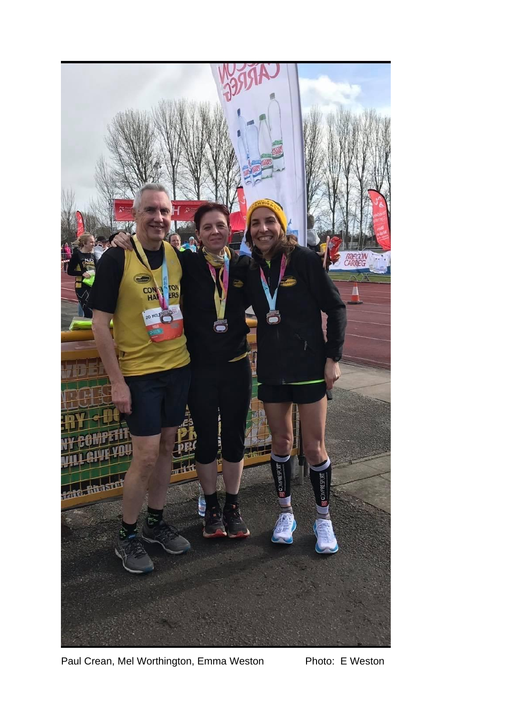

Paul Crean, Mel Worthington, Emma Weston Photo: E Weston